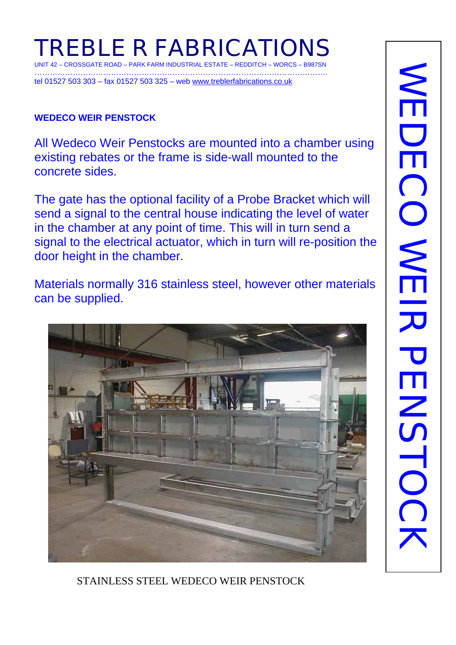# **TREBLE R FABRICATIONS**  UNIT 42 – CROSSGATE ROAD – PARK FARM INDUSTRIAL ESTATE – REDDITCH – WORCS – B987SN

……………………………………………………………………………………………………. tel 01527 503 303 – fax 01527 503 325 – web www.treblerfabrications.co.uk

#### **WEDECO WEIR PENSTOCK**

All Wedeco Weir Penstocks are mounted into a chamber using existing rebates or the frame is side-wall mounted to the concrete sides.

The gate has the optional facility of a Probe Bracket which will send a signal to the central house indicating the level of water in the chamber at any point of time. This will in turn send a signal to the electrical actuator, which in turn will re-position the door height in the chamber.

Materials normally 316 stainless steel, however other materials can be supplied.



STAINLESS STEEL WEDECO WEIR PENSTOCK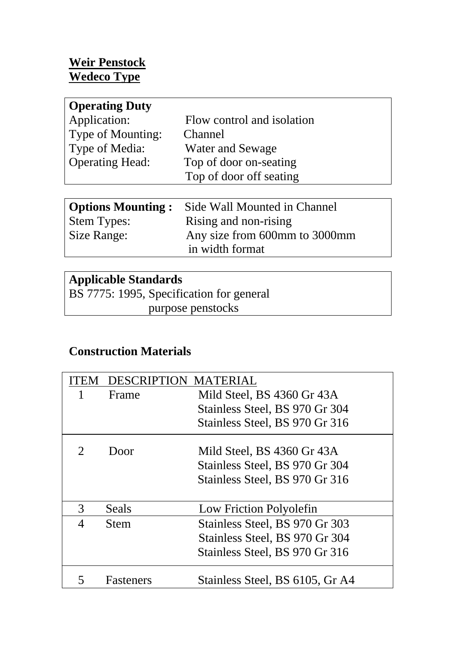### **Weir Penstock Wedeco Type**

| <b>Operating Duty</b>  |                            |
|------------------------|----------------------------|
| Application:           | Flow control and isolation |
| Type of Mounting:      | Channel                    |
| Type of Media:         | <b>Water and Sewage</b>    |
| <b>Operating Head:</b> | Top of door on-seating     |
|                        | Top of door off seating    |
|                        |                            |

|                    | <b>Options Mounting:</b> Side Wall Mounted in Channel |
|--------------------|-------------------------------------------------------|
| <b>Stem Types:</b> | Rising and non-rising                                 |
| Size Range:        | Any size from 600mm to 3000mm                         |
|                    | in width format                                       |

# **Applicable Standards**

BS 7775: 1995, Specification for general purpose penstocks

## **Construction Materials**

|   | DESCRIPTION MATERIAL |                                 |
|---|----------------------|---------------------------------|
|   | Frame                | Mild Steel, BS 4360 Gr 43A      |
|   |                      | Stainless Steel, BS 970 Gr 304  |
|   |                      | Stainless Steel, BS 970 Gr 316  |
|   | Door                 | Mild Steel, BS 4360 Gr 43A      |
|   |                      | Stainless Steel, BS 970 Gr 304  |
|   |                      | Stainless Steel, BS 970 Gr 316  |
|   |                      |                                 |
| 3 | Seals                | Low Friction Polyolefin         |
| 4 | <b>Stem</b>          | Stainless Steel, BS 970 Gr 303  |
|   |                      | Stainless Steel, BS 970 Gr 304  |
|   |                      | Stainless Steel, BS 970 Gr 316  |
|   | <b>Fasteners</b>     | Stainless Steel, BS 6105, Gr A4 |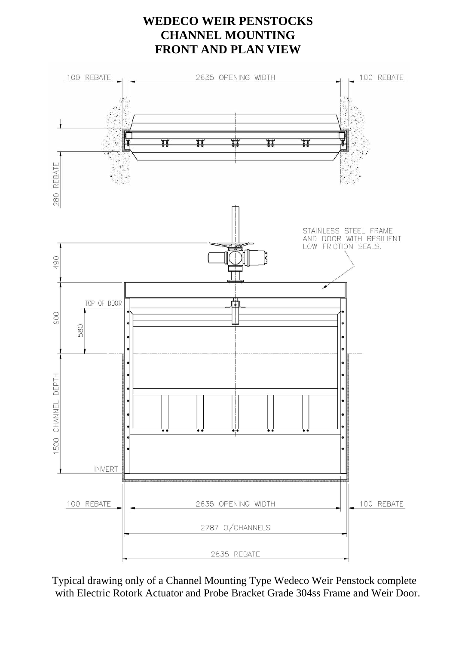#### **WEDECO WEIR PENSTOCKS CHANNEL MOUNTING FRONT AND PLAN VIEW**



Typical drawing only of a Channel Mounting Type Wedeco Weir Penstock complete with Electric Rotork Actuator and Probe Bracket Grade 304ss Frame and Weir Door.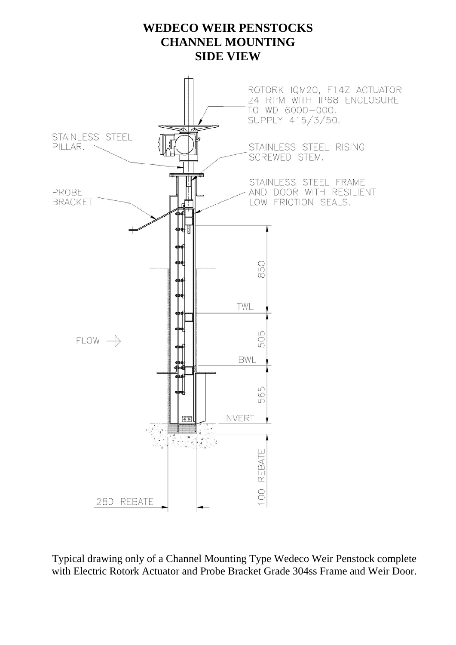### **WEDECO WEIR PENSTOCKS CHANNEL MOUNTING SIDE VIEW**



Typical drawing only of a Channel Mounting Type Wedeco Weir Penstock complete with Electric Rotork Actuator and Probe Bracket Grade 304ss Frame and Weir Door.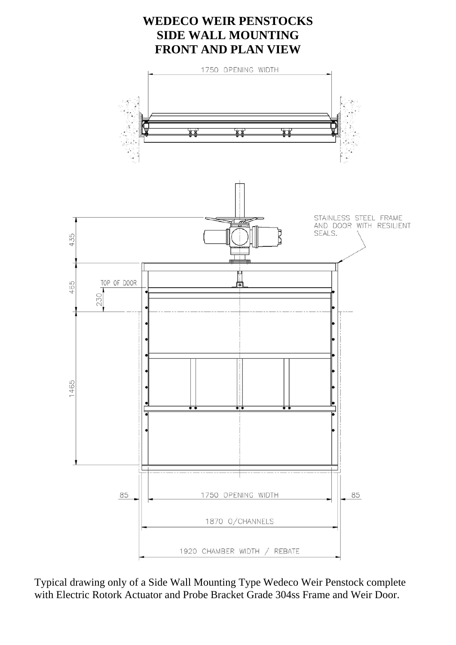

Typical drawing only of a Side Wall Mounting Type Wedeco Weir Penstock complete with Electric Rotork Actuator and Probe Bracket Grade 304ss Frame and Weir Door.